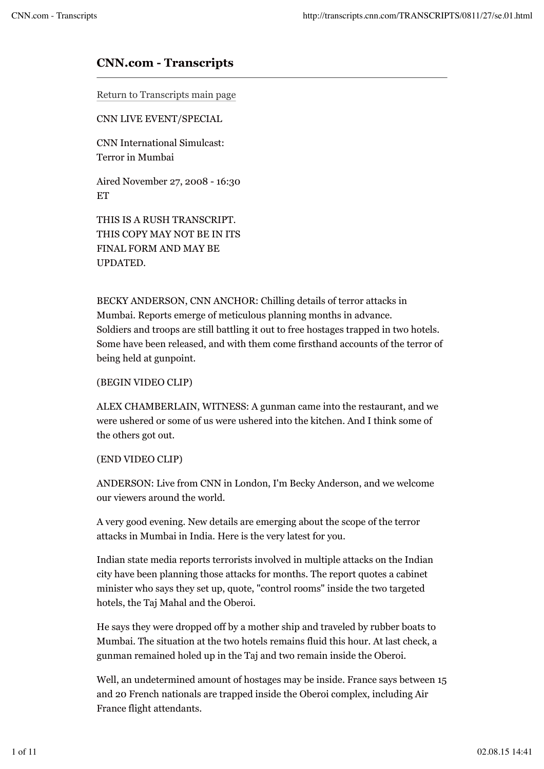# **CNN.com - Transcripts**

Return to Transcripts main page

CNN LIVE EVENT/SPECIAL

CNN International Simulcast: Terror in Mumbai

Aired November 27, 2008 - 16:30 ET

THIS IS A RUSH TRANSCRIPT. THIS COPY MAY NOT BE IN ITS FINAL FORM AND MAY BE UPDATED.

BECKY ANDERSON, CNN ANCHOR: Chilling details of terror attacks in Mumbai. Reports emerge of meticulous planning months in advance. Soldiers and troops are still battling it out to free hostages trapped in two hotels. Some have been released, and with them come firsthand accounts of the terror of being held at gunpoint.

#### (BEGIN VIDEO CLIP)

ALEX CHAMBERLAIN, WITNESS: A gunman came into the restaurant, and we were ushered or some of us were ushered into the kitchen. And I think some of the others got out.

## (END VIDEO CLIP)

ANDERSON: Live from CNN in London, I'm Becky Anderson, and we welcome our viewers around the world.

A very good evening. New details are emerging about the scope of the terror attacks in Mumbai in India. Here is the very latest for you.

Indian state media reports terrorists involved in multiple attacks on the Indian city have been planning those attacks for months. The report quotes a cabinet minister who says they set up, quote, "control rooms" inside the two targeted hotels, the Taj Mahal and the Oberoi.

He says they were dropped off by a mother ship and traveled by rubber boats to Mumbai. The situation at the two hotels remains fluid this hour. At last check, a gunman remained holed up in the Taj and two remain inside the Oberoi.

Well, an undetermined amount of hostages may be inside. France says between 15 and 20 French nationals are trapped inside the Oberoi complex, including Air France flight attendants.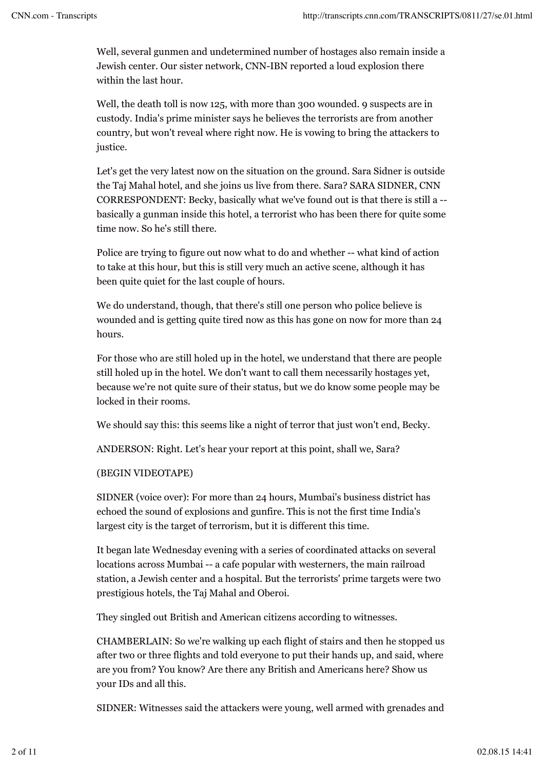Well, several gunmen and undetermined number of hostages also remain inside a Jewish center. Our sister network, CNN-IBN reported a loud explosion there within the last hour.

Well, the death toll is now 125, with more than 300 wounded. 9 suspects are in custody. India's prime minister says he believes the terrorists are from another country, but won't reveal where right now. He is vowing to bring the attackers to justice.

Let's get the very latest now on the situation on the ground. Sara Sidner is outside the Taj Mahal hotel, and she joins us live from there. Sara? SARA SIDNER, CNN CORRESPONDENT: Becky, basically what we've found out is that there is still a - basically a gunman inside this hotel, a terrorist who has been there for quite some time now. So he's still there.

Police are trying to figure out now what to do and whether -- what kind of action to take at this hour, but this is still very much an active scene, although it has been quite quiet for the last couple of hours.

We do understand, though, that there's still one person who police believe is wounded and is getting quite tired now as this has gone on now for more than 24 hours.

For those who are still holed up in the hotel, we understand that there are people still holed up in the hotel. We don't want to call them necessarily hostages yet, because we're not quite sure of their status, but we do know some people may be locked in their rooms.

We should say this: this seems like a night of terror that just won't end, Becky.

ANDERSON: Right. Let's hear your report at this point, shall we, Sara?

## (BEGIN VIDEOTAPE)

SIDNER (voice over): For more than 24 hours, Mumbai's business district has echoed the sound of explosions and gunfire. This is not the first time India's largest city is the target of terrorism, but it is different this time.

It began late Wednesday evening with a series of coordinated attacks on several locations across Mumbai -- a cafe popular with westerners, the main railroad station, a Jewish center and a hospital. But the terrorists' prime targets were two prestigious hotels, the Taj Mahal and Oberoi.

They singled out British and American citizens according to witnesses.

CHAMBERLAIN: So we're walking up each flight of stairs and then he stopped us after two or three flights and told everyone to put their hands up, and said, where are you from? You know? Are there any British and Americans here? Show us your IDs and all this.

SIDNER: Witnesses said the attackers were young, well armed with grenades and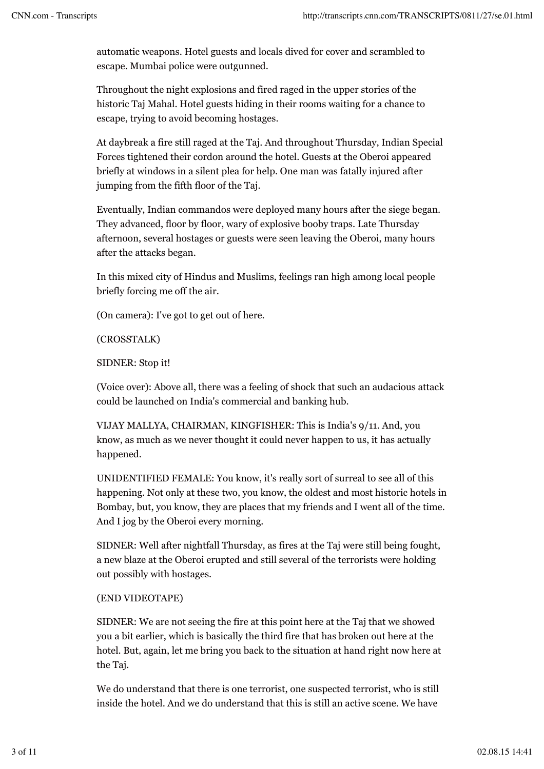automatic weapons. Hotel guests and locals dived for cover and scrambled to escape. Mumbai police were outgunned.

Throughout the night explosions and fired raged in the upper stories of the historic Taj Mahal. Hotel guests hiding in their rooms waiting for a chance to escape, trying to avoid becoming hostages.

At daybreak a fire still raged at the Taj. And throughout Thursday, Indian Special Forces tightened their cordon around the hotel. Guests at the Oberoi appeared briefly at windows in a silent plea for help. One man was fatally injured after jumping from the fifth floor of the Taj.

Eventually, Indian commandos were deployed many hours after the siege began. They advanced, floor by floor, wary of explosive booby traps. Late Thursday afternoon, several hostages or guests were seen leaving the Oberoi, many hours after the attacks began.

In this mixed city of Hindus and Muslims, feelings ran high among local people briefly forcing me off the air.

(On camera): I've got to get out of here.

(CROSSTALK)

SIDNER: Stop it!

(Voice over): Above all, there was a feeling of shock that such an audacious attack could be launched on India's commercial and banking hub.

VIJAY MALLYA, CHAIRMAN, KINGFISHER: This is India's 9/11. And, you know, as much as we never thought it could never happen to us, it has actually happened.

UNIDENTIFIED FEMALE: You know, it's really sort of surreal to see all of this happening. Not only at these two, you know, the oldest and most historic hotels in Bombay, but, you know, they are places that my friends and I went all of the time. And I jog by the Oberoi every morning.

SIDNER: Well after nightfall Thursday, as fires at the Taj were still being fought, a new blaze at the Oberoi erupted and still several of the terrorists were holding out possibly with hostages.

# (END VIDEOTAPE)

SIDNER: We are not seeing the fire at this point here at the Taj that we showed you a bit earlier, which is basically the third fire that has broken out here at the hotel. But, again, let me bring you back to the situation at hand right now here at the Taj.

We do understand that there is one terrorist, one suspected terrorist, who is still inside the hotel. And we do understand that this is still an active scene. We have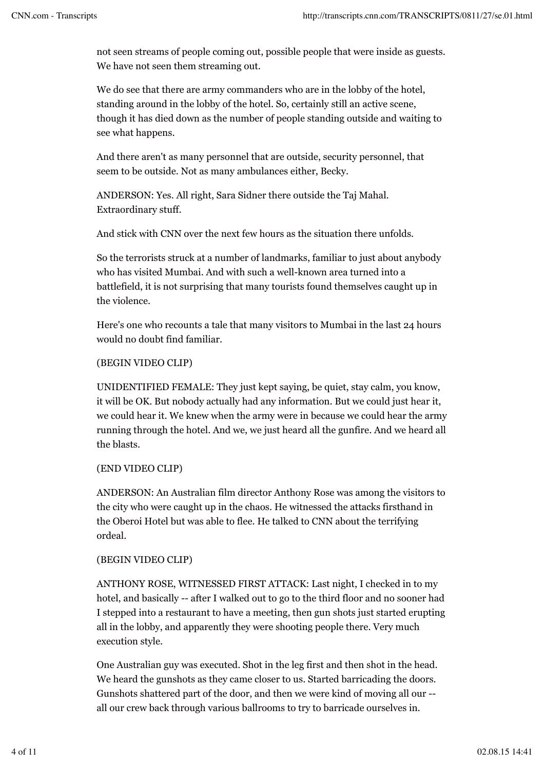not seen streams of people coming out, possible people that were inside as guests. We have not seen them streaming out.

We do see that there are army commanders who are in the lobby of the hotel, standing around in the lobby of the hotel. So, certainly still an active scene, though it has died down as the number of people standing outside and waiting to see what happens.

And there aren't as many personnel that are outside, security personnel, that seem to be outside. Not as many ambulances either, Becky.

ANDERSON: Yes. All right, Sara Sidner there outside the Taj Mahal. Extraordinary stuff.

And stick with CNN over the next few hours as the situation there unfolds.

So the terrorists struck at a number of landmarks, familiar to just about anybody who has visited Mumbai. And with such a well-known area turned into a battlefield, it is not surprising that many tourists found themselves caught up in the violence.

Here's one who recounts a tale that many visitors to Mumbai in the last 24 hours would no doubt find familiar.

## (BEGIN VIDEO CLIP)

UNIDENTIFIED FEMALE: They just kept saying, be quiet, stay calm, you know, it will be OK. But nobody actually had any information. But we could just hear it, we could hear it. We knew when the army were in because we could hear the army running through the hotel. And we, we just heard all the gunfire. And we heard all the blasts.

## (END VIDEO CLIP)

ANDERSON: An Australian film director Anthony Rose was among the visitors to the city who were caught up in the chaos. He witnessed the attacks firsthand in the Oberoi Hotel but was able to flee. He talked to CNN about the terrifying ordeal.

## (BEGIN VIDEO CLIP)

ANTHONY ROSE, WITNESSED FIRST ATTACK: Last night, I checked in to my hotel, and basically -- after I walked out to go to the third floor and no sooner had I stepped into a restaurant to have a meeting, then gun shots just started erupting all in the lobby, and apparently they were shooting people there. Very much execution style.

One Australian guy was executed. Shot in the leg first and then shot in the head. We heard the gunshots as they came closer to us. Started barricading the doors. Gunshots shattered part of the door, and then we were kind of moving all our - all our crew back through various ballrooms to try to barricade ourselves in.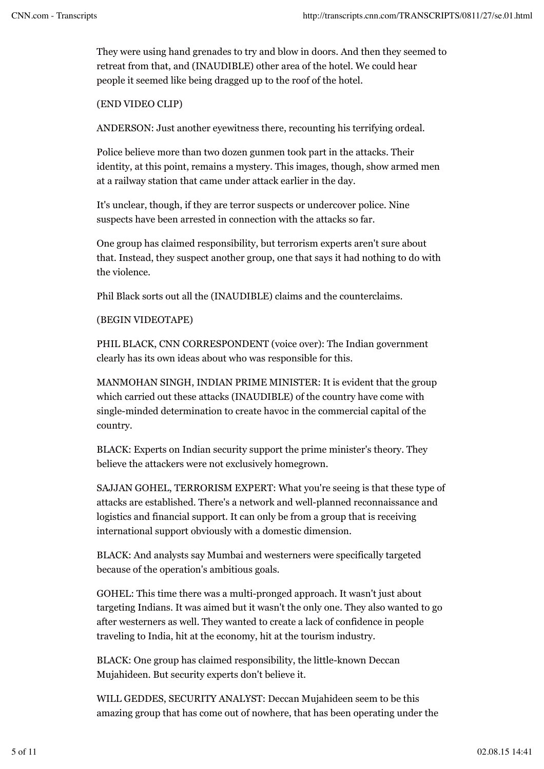They were using hand grenades to try and blow in doors. And then they seemed to retreat from that, and (INAUDIBLE) other area of the hotel. We could hear people it seemed like being dragged up to the roof of the hotel.

## (END VIDEO CLIP)

ANDERSON: Just another eyewitness there, recounting his terrifying ordeal.

Police believe more than two dozen gunmen took part in the attacks. Their identity, at this point, remains a mystery. This images, though, show armed men at a railway station that came under attack earlier in the day.

It's unclear, though, if they are terror suspects or undercover police. Nine suspects have been arrested in connection with the attacks so far.

One group has claimed responsibility, but terrorism experts aren't sure about that. Instead, they suspect another group, one that says it had nothing to do with the violence.

Phil Black sorts out all the (INAUDIBLE) claims and the counterclaims.

## (BEGIN VIDEOTAPE)

PHIL BLACK, CNN CORRESPONDENT (voice over): The Indian government clearly has its own ideas about who was responsible for this.

MANMOHAN SINGH, INDIAN PRIME MINISTER: It is evident that the group which carried out these attacks (INAUDIBLE) of the country have come with single-minded determination to create havoc in the commercial capital of the country.

BLACK: Experts on Indian security support the prime minister's theory. They believe the attackers were not exclusively homegrown.

SAJJAN GOHEL, TERRORISM EXPERT: What you're seeing is that these type of attacks are established. There's a network and well-planned reconnaissance and logistics and financial support. It can only be from a group that is receiving international support obviously with a domestic dimension.

BLACK: And analysts say Mumbai and westerners were specifically targeted because of the operation's ambitious goals.

GOHEL: This time there was a multi-pronged approach. It wasn't just about targeting Indians. It was aimed but it wasn't the only one. They also wanted to go after westerners as well. They wanted to create a lack of confidence in people traveling to India, hit at the economy, hit at the tourism industry.

BLACK: One group has claimed responsibility, the little-known Deccan Mujahideen. But security experts don't believe it.

WILL GEDDES, SECURITY ANALYST: Deccan Mujahideen seem to be this amazing group that has come out of nowhere, that has been operating under the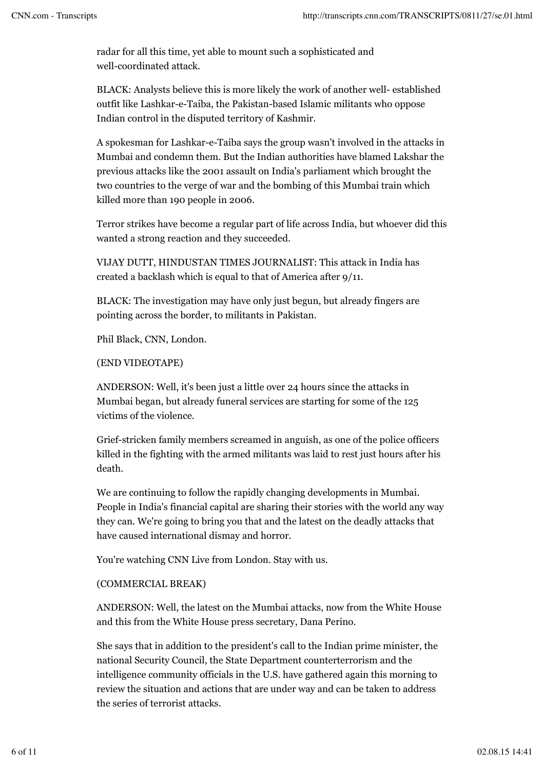radar for all this time, yet able to mount such a sophisticated and well-coordinated attack.

BLACK: Analysts believe this is more likely the work of another well- established outfit like Lashkar-e-Taiba, the Pakistan-based Islamic militants who oppose Indian control in the disputed territory of Kashmir.

A spokesman for Lashkar-e-Taiba says the group wasn't involved in the attacks in Mumbai and condemn them. But the Indian authorities have blamed Lakshar the previous attacks like the 2001 assault on India's parliament which brought the two countries to the verge of war and the bombing of this Mumbai train which killed more than 190 people in 2006.

Terror strikes have become a regular part of life across India, but whoever did this wanted a strong reaction and they succeeded.

VIJAY DUTT, HINDUSTAN TIMES JOURNALIST: This attack in India has created a backlash which is equal to that of America after 9/11.

BLACK: The investigation may have only just begun, but already fingers are pointing across the border, to militants in Pakistan.

Phil Black, CNN, London.

## (END VIDEOTAPE)

ANDERSON: Well, it's been just a little over 24 hours since the attacks in Mumbai began, but already funeral services are starting for some of the 125 victims of the violence.

Grief-stricken family members screamed in anguish, as one of the police officers killed in the fighting with the armed militants was laid to rest just hours after his death.

We are continuing to follow the rapidly changing developments in Mumbai. People in India's financial capital are sharing their stories with the world any way they can. We're going to bring you that and the latest on the deadly attacks that have caused international dismay and horror.

You're watching CNN Live from London. Stay with us.

## (COMMERCIAL BREAK)

ANDERSON: Well, the latest on the Mumbai attacks, now from the White House and this from the White House press secretary, Dana Perino.

She says that in addition to the president's call to the Indian prime minister, the national Security Council, the State Department counterterrorism and the intelligence community officials in the U.S. have gathered again this morning to review the situation and actions that are under way and can be taken to address the series of terrorist attacks.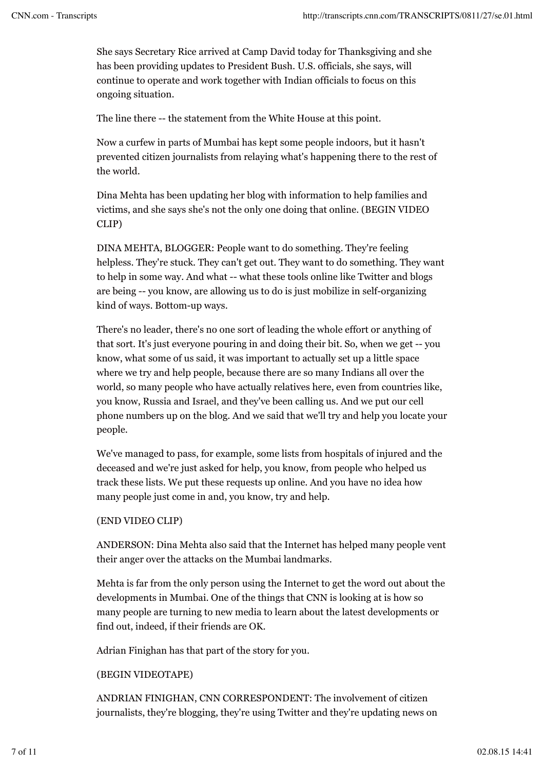She says Secretary Rice arrived at Camp David today for Thanksgiving and she has been providing updates to President Bush. U.S. officials, she says, will continue to operate and work together with Indian officials to focus on this ongoing situation.

The line there -- the statement from the White House at this point.

Now a curfew in parts of Mumbai has kept some people indoors, but it hasn't prevented citizen journalists from relaying what's happening there to the rest of the world.

Dina Mehta has been updating her blog with information to help families and victims, and she says she's not the only one doing that online. (BEGIN VIDEO CLIP)

DINA MEHTA, BLOGGER: People want to do something. They're feeling helpless. They're stuck. They can't get out. They want to do something. They want to help in some way. And what -- what these tools online like Twitter and blogs are being -- you know, are allowing us to do is just mobilize in self-organizing kind of ways. Bottom-up ways.

There's no leader, there's no one sort of leading the whole effort or anything of that sort. It's just everyone pouring in and doing their bit. So, when we get -- you know, what some of us said, it was important to actually set up a little space where we try and help people, because there are so many Indians all over the world, so many people who have actually relatives here, even from countries like, you know, Russia and Israel, and they've been calling us. And we put our cell phone numbers up on the blog. And we said that we'll try and help you locate your people.

We've managed to pass, for example, some lists from hospitals of injured and the deceased and we're just asked for help, you know, from people who helped us track these lists. We put these requests up online. And you have no idea how many people just come in and, you know, try and help.

## (END VIDEO CLIP)

ANDERSON: Dina Mehta also said that the Internet has helped many people vent their anger over the attacks on the Mumbai landmarks.

Mehta is far from the only person using the Internet to get the word out about the developments in Mumbai. One of the things that CNN is looking at is how so many people are turning to new media to learn about the latest developments or find out, indeed, if their friends are OK.

Adrian Finighan has that part of the story for you.

## (BEGIN VIDEOTAPE)

ANDRIAN FINIGHAN, CNN CORRESPONDENT: The involvement of citizen journalists, they're blogging, they're using Twitter and they're updating news on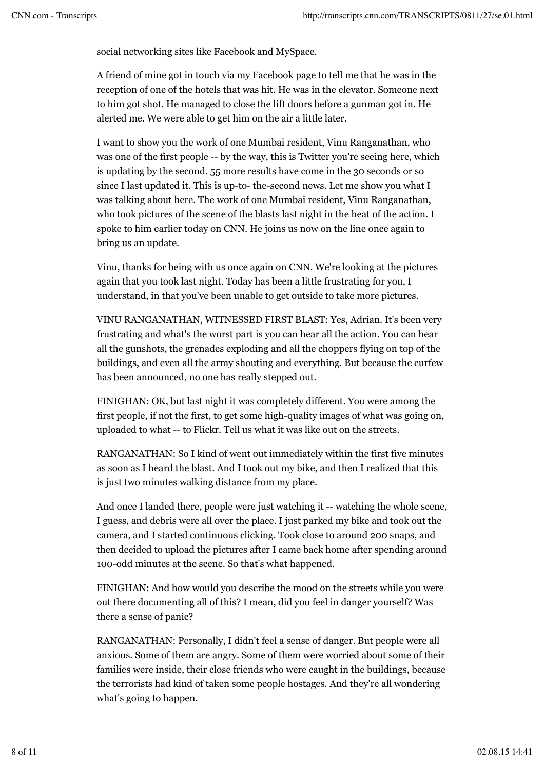social networking sites like Facebook and MySpace.

A friend of mine got in touch via my Facebook page to tell me that he was in the reception of one of the hotels that was hit. He was in the elevator. Someone next to him got shot. He managed to close the lift doors before a gunman got in. He alerted me. We were able to get him on the air a little later.

I want to show you the work of one Mumbai resident, Vinu Ranganathan, who was one of the first people -- by the way, this is Twitter you're seeing here, which is updating by the second. 55 more results have come in the 30 seconds or so since I last updated it. This is up-to- the-second news. Let me show you what I was talking about here. The work of one Mumbai resident, Vinu Ranganathan, who took pictures of the scene of the blasts last night in the heat of the action. I spoke to him earlier today on CNN. He joins us now on the line once again to bring us an update.

Vinu, thanks for being with us once again on CNN. We're looking at the pictures again that you took last night. Today has been a little frustrating for you, I understand, in that you've been unable to get outside to take more pictures.

VINU RANGANATHAN, WITNESSED FIRST BLAST: Yes, Adrian. It's been very frustrating and what's the worst part is you can hear all the action. You can hear all the gunshots, the grenades exploding and all the choppers flying on top of the buildings, and even all the army shouting and everything. But because the curfew has been announced, no one has really stepped out.

FINIGHAN: OK, but last night it was completely different. You were among the first people, if not the first, to get some high-quality images of what was going on, uploaded to what -- to Flickr. Tell us what it was like out on the streets.

RANGANATHAN: So I kind of went out immediately within the first five minutes as soon as I heard the blast. And I took out my bike, and then I realized that this is just two minutes walking distance from my place.

And once I landed there, people were just watching it -- watching the whole scene, I guess, and debris were all over the place. I just parked my bike and took out the camera, and I started continuous clicking. Took close to around 200 snaps, and then decided to upload the pictures after I came back home after spending around 100-odd minutes at the scene. So that's what happened.

FINIGHAN: And how would you describe the mood on the streets while you were out there documenting all of this? I mean, did you feel in danger yourself? Was there a sense of panic?

RANGANATHAN: Personally, I didn't feel a sense of danger. But people were all anxious. Some of them are angry. Some of them were worried about some of their families were inside, their close friends who were caught in the buildings, because the terrorists had kind of taken some people hostages. And they're all wondering what's going to happen.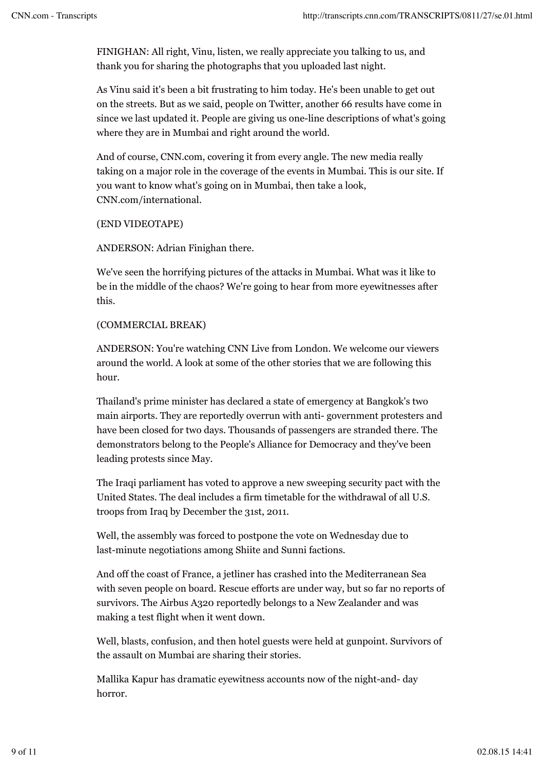FINIGHAN: All right, Vinu, listen, we really appreciate you talking to us, and thank you for sharing the photographs that you uploaded last night.

As Vinu said it's been a bit frustrating to him today. He's been unable to get out on the streets. But as we said, people on Twitter, another 66 results have come in since we last updated it. People are giving us one-line descriptions of what's going where they are in Mumbai and right around the world.

And of course, CNN.com, covering it from every angle. The new media really taking on a major role in the coverage of the events in Mumbai. This is our site. If you want to know what's going on in Mumbai, then take a look, CNN.com/international.

(END VIDEOTAPE)

ANDERSON: Adrian Finighan there.

We've seen the horrifying pictures of the attacks in Mumbai. What was it like to be in the middle of the chaos? We're going to hear from more eyewitnesses after this.

#### (COMMERCIAL BREAK)

ANDERSON: You're watching CNN Live from London. We welcome our viewers around the world. A look at some of the other stories that we are following this hour.

Thailand's prime minister has declared a state of emergency at Bangkok's two main airports. They are reportedly overrun with anti- government protesters and have been closed for two days. Thousands of passengers are stranded there. The demonstrators belong to the People's Alliance for Democracy and they've been leading protests since May.

The Iraqi parliament has voted to approve a new sweeping security pact with the United States. The deal includes a firm timetable for the withdrawal of all U.S. troops from Iraq by December the 31st, 2011.

Well, the assembly was forced to postpone the vote on Wednesday due to last-minute negotiations among Shiite and Sunni factions.

And off the coast of France, a jetliner has crashed into the Mediterranean Sea with seven people on board. Rescue efforts are under way, but so far no reports of survivors. The Airbus A320 reportedly belongs to a New Zealander and was making a test flight when it went down.

Well, blasts, confusion, and then hotel guests were held at gunpoint. Survivors of the assault on Mumbai are sharing their stories.

Mallika Kapur has dramatic eyewitness accounts now of the night-and- day horror.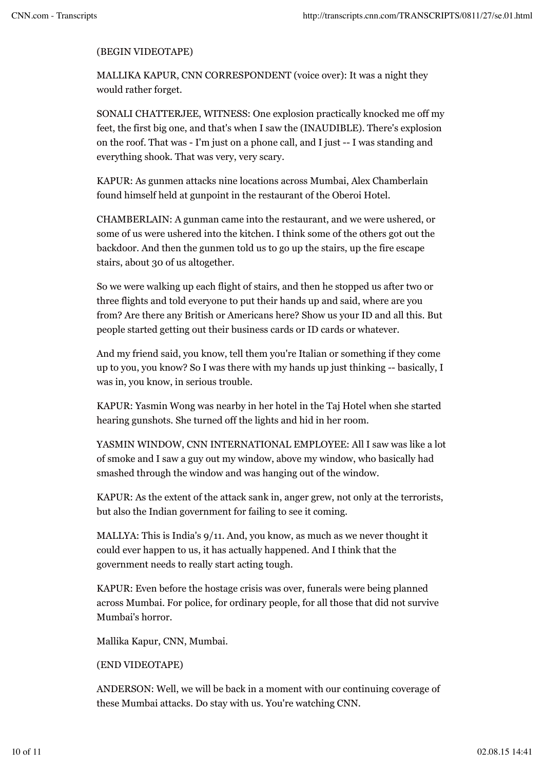## (BEGIN VIDEOTAPE)

MALLIKA KAPUR, CNN CORRESPONDENT (voice over): It was a night they would rather forget.

SONALI CHATTERJEE, WITNESS: One explosion practically knocked me off my feet, the first big one, and that's when I saw the (INAUDIBLE). There's explosion on the roof. That was - I'm just on a phone call, and I just -- I was standing and everything shook. That was very, very scary.

KAPUR: As gunmen attacks nine locations across Mumbai, Alex Chamberlain found himself held at gunpoint in the restaurant of the Oberoi Hotel.

CHAMBERLAIN: A gunman came into the restaurant, and we were ushered, or some of us were ushered into the kitchen. I think some of the others got out the backdoor. And then the gunmen told us to go up the stairs, up the fire escape stairs, about 30 of us altogether.

So we were walking up each flight of stairs, and then he stopped us after two or three flights and told everyone to put their hands up and said, where are you from? Are there any British or Americans here? Show us your ID and all this. But people started getting out their business cards or ID cards or whatever.

And my friend said, you know, tell them you're Italian or something if they come up to you, you know? So I was there with my hands up just thinking -- basically, I was in, you know, in serious trouble.

KAPUR: Yasmin Wong was nearby in her hotel in the Taj Hotel when she started hearing gunshots. She turned off the lights and hid in her room.

YASMIN WINDOW, CNN INTERNATIONAL EMPLOYEE: All I saw was like a lot of smoke and I saw a guy out my window, above my window, who basically had smashed through the window and was hanging out of the window.

KAPUR: As the extent of the attack sank in, anger grew, not only at the terrorists, but also the Indian government for failing to see it coming.

MALLYA: This is India's 9/11. And, you know, as much as we never thought it could ever happen to us, it has actually happened. And I think that the government needs to really start acting tough.

KAPUR: Even before the hostage crisis was over, funerals were being planned across Mumbai. For police, for ordinary people, for all those that did not survive Mumbai's horror.

Mallika Kapur, CNN, Mumbai.

## (END VIDEOTAPE)

ANDERSON: Well, we will be back in a moment with our continuing coverage of these Mumbai attacks. Do stay with us. You're watching CNN.